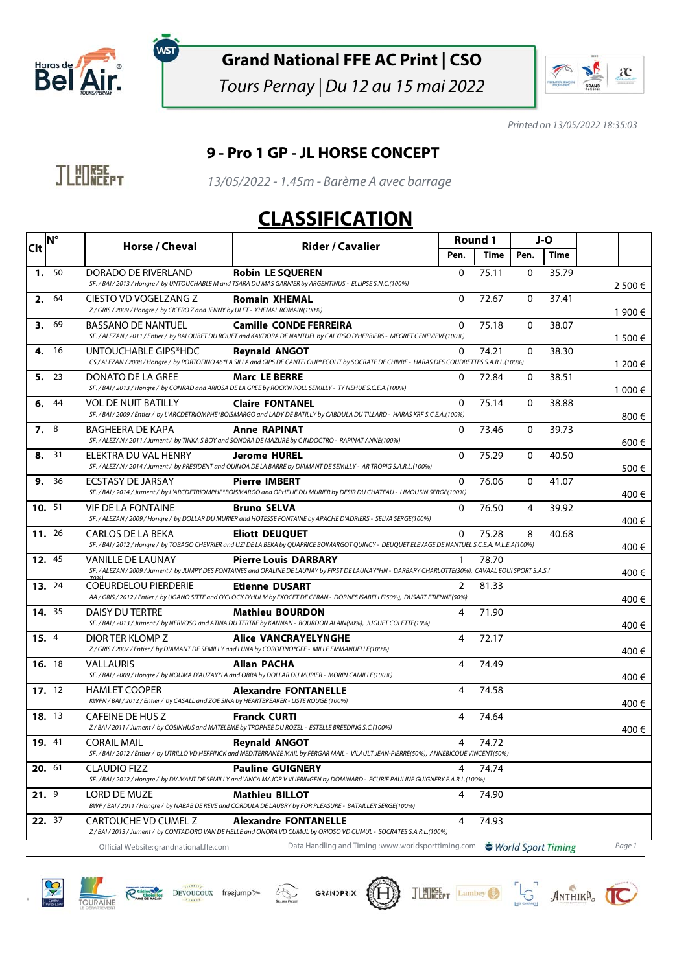

**WST** 

### **Grand National FFE AC Print | CSO**

Tours Pernay | Du 12 au 15 mai 2022



Printed on 13/05/2022 18:35:03

#### **9 - Pro 1 GP - JL HORSE CONCEPT**

**JLUNEE<sub>PT</sub>** 

13/05/2022 - 1.45m - Barème A avec barrage

## **CLASSIFICATION**

| <b>Clt</b>    | lM° |       | <b>Rider / Cavalier</b><br>Horse / Cheval                                                                 |                                                                                                                                                                             |              | Round 1     |              | J-O                |         |
|---------------|-----|-------|-----------------------------------------------------------------------------------------------------------|-----------------------------------------------------------------------------------------------------------------------------------------------------------------------------|--------------|-------------|--------------|--------------------|---------|
|               |     |       |                                                                                                           |                                                                                                                                                                             | Pen.         | <b>Time</b> | Pen.         | <b>Time</b>        |         |
|               |     | 1. 50 | DORADO DE RIVERLAND                                                                                       | <b>Robin LE SQUEREN</b>                                                                                                                                                     | 0            | 75.11       | 0            | 35.79              |         |
|               |     |       |                                                                                                           | SF. / BAI / 2013 / Hongre / by UNTOUCHABLE M and TSARA DU MAS GARNIER by ARGENTINUS - ELLIPSE S.N.C.(100%)                                                                  |              |             |              |                    | 2500€   |
| 2.            |     | 64    | CIESTO VD VOGELZANG Z<br>Z/GRIS/2009/Hongre/ by CICERO Z and JENNY by ULFT - XHEMAL ROMAIN(100%)          | <b>Romain XHEMAL</b>                                                                                                                                                        | $\mathbf{0}$ | 72.67       | 0            | 37.41              | 1 900 € |
| 3.            |     | 69    | <b>BASSANO DE NANTUEL</b>                                                                                 | <b>Camille CONDE FERREIRA</b>                                                                                                                                               | $\mathbf{0}$ | 75.18       | 0            | 38.07              |         |
|               |     |       |                                                                                                           | SF. / ALEZAN / 2011 / Entier / by BALOUBET DU ROUET and KAYDORA DE NANTUEL by CALYPSO D'HERBIERS - MEGRET GENEVIEVE(100%)                                                   |              |             |              |                    | 1 500 € |
| 4.            |     | 16    | UNTOUCHABLE GIPS*HDC                                                                                      | <b>Reynald ANGOT</b><br>CS / ALEZAN / 2008 / Hongre / by PORTOFINO 46*LA SILLA and GIPS DE CANTELOUP*ECOLIT by SOCRATE DE CHIVRE - HARAS DES COUDRETTES S.A.R.L.(100%)      | $\Omega$     | 74.21       | $\mathbf{0}$ | 38.30              |         |
|               |     |       |                                                                                                           |                                                                                                                                                                             |              |             |              |                    | 1 200 € |
|               |     | 5. 23 | DONATO DE LA GREE                                                                                         | <b>Marc LE BERRE</b><br>SF./BAI/2013/Hongre/ by CONRAD and ARIOSA DE LA GREE by ROCK'N ROLL SEMILLY - TY NEHUE S.C.E.A.(100%)                                               | 0            | 72.84       | 0            | 38.51              | 1 000 € |
| 6.            |     | 44    | <b>VOL DE NUIT BATILLY</b>                                                                                | <b>Claire FONTANEL</b>                                                                                                                                                      | 0            | 75.14       | 0            | 38.88              |         |
|               |     |       |                                                                                                           | SF. / BAI / 2009 / Entier / by L'ARCDETRIOMPHE*BOISMARGO and LADY DE BATILLY by CABDULA DU TILLARD - HARAS KRF S.C.E.A.(100%)                                               |              |             |              |                    | 800€    |
| 7. 8          |     |       | BAGHEERA DE KAPA                                                                                          | <b>Anne RAPINAT</b>                                                                                                                                                         | 0            | 73.46       | 0            | 39.73              |         |
|               |     |       |                                                                                                           | SF./ALEZAN/2011/Jument/ by TINKA'S BOY and SONORA DE MAZURE by C INDOCTRO - RAPINAT ANNE(100%)                                                                              |              |             |              |                    | 600€    |
| 8.            |     | 31    | ELEKTRA DU VAL HENRY                                                                                      | <b>Jerome HUREL</b><br>SF. / ALEZAN / 2014 / Jument / by PRESIDENT and QUINOA DE LA BARRE by DIAMANT DE SEMILLY - AR TROPIG S.A.R.L.(100%)                                  | 0            | 75.29       | 0            | 40.50              | 500€    |
|               |     | 9. 36 | <b>ECSTASY DE JARSAY</b>                                                                                  | <b>Pierre IMBERT</b>                                                                                                                                                        | 0            | 76.06       | $\mathbf{0}$ | 41.07              |         |
|               |     |       |                                                                                                           | SF. / BAI / 2014 / Jument / by L'ARCDETRIOMPHE*BOISMARGO and OPHELIE DU MURIER by DESIR DU CHATEAU - LIMOUSIN SERGE(100%)                                                   |              |             |              |                    | 400€    |
| 10.51         |     |       | <b>VIF DE LA FONTAINE</b>                                                                                 | <b>Bruno SELVA</b>                                                                                                                                                          | $\Omega$     | 76.50       | 4            | 39.92              |         |
|               |     |       |                                                                                                           | SF. / ALEZAN / 2009 / Hongre / by DOLLAR DU MURIER and HOTESSE FONTAINE by APACHE D'ADRIERS - SELVA SERGE(100%)                                                             |              |             |              |                    | 400€    |
| 11.26         |     |       | CARLOS DE LA BEKA                                                                                         | <b>Eliott DEUQUET</b><br>SF. / BAI / 2012 / Hongre / by TOBAGO CHEVRIER and UZI DE LA BEKA by QUAPRICE BOIMARGOT QUINCY - DEUQUET ELEVAGE DE NANTUEL S.C.E.A. M.L.E.A(100%) | 0            | 75.28       | 8            | 40.68              | 400€    |
| 12. 45        |     |       | <b>VANILLE DE LAUNAY</b>                                                                                  | <b>Pierre Louis DARBARY</b>                                                                                                                                                 | 1            | 78.70       |              |                    |         |
|               |     |       |                                                                                                           | SF. / ALEZAN / 2009 / Jument / by JUMPY DES FONTAINES and OPALINE DE LAUNAY by FIRST DE LAUNAY*HN - DARBARY CHARLOTTE(30%), CAVAAL EQUI SPORT S.A.S.(                       |              |             |              |                    | 400€    |
| 13. 24        |     |       | <b>COEURDELOU PIERDERIE</b>                                                                               | <b>Etienne DUSART</b>                                                                                                                                                       | 2            | 81.33       |              |                    |         |
|               |     |       |                                                                                                           | AA / GRIS / 2012 / Entier / by UGANO SITTE and O'CLOCK D'HULM by EXOCET DE CERAN - DORNES ISABELLE(50%), DUSART ETIENNE(50%)                                                |              |             |              |                    | 400€    |
| 14. 35        |     |       | <b>DAISY DU TERTRE</b>                                                                                    | <b>Mathieu BOURDON</b><br>SF. / BAI / 2013 / Jument / by NERVOSO and ATINA DU TERTRE by KANNAN - BOURDON ALAIN(90%), JUGUET COLETTE(10%)                                    | 4            | 71.90       |              |                    | 400€    |
| 15.4          |     |       | DIOR TER KLOMP Z                                                                                          | <b>Alice VANCRAYELYNGHE</b>                                                                                                                                                 | 4            | 72.17       |              |                    |         |
|               |     |       |                                                                                                           | Z/GRIS/2007/Entier/by DIAMANT DE SEMILLY and LUNA by COROFINO*GFE - MILLE EMMANUELLE(100%)                                                                                  |              |             |              |                    | 400€    |
| 16. 18        |     |       | <b>VALLAURIS</b>                                                                                          | Allan PACHA                                                                                                                                                                 | 4            | 74.49       |              |                    |         |
|               |     |       |                                                                                                           | SF./BAI/2009/Hongre/ by NOUMA D'AUZAY*LA and OBRA by DOLLAR DU MURIER - MORIN CAMILLE(100%)                                                                                 |              |             |              |                    | 400€    |
| 17.12         |     |       | HAMLET COOPER<br>KWPN / BAI / 2012 / Entier / by CASALL and ZOE SINA by HEARTBREAKER - LISTE ROUGE (100%) | <b>Alexandre FONTANELLE</b>                                                                                                                                                 | 4            | 74.58       |              |                    | 400€    |
| 18. 13        |     |       | CAFEINE DE HUS Z                                                                                          | <b>Franck CURTI</b>                                                                                                                                                         | 4            | 74.64       |              |                    |         |
|               |     |       |                                                                                                           | Z/BAI/2011/Jument/ by COSINHUS and MATELEME by TROPHEE DU ROZEL - ESTELLE BREEDING S.C.(100%)                                                                               |              |             |              |                    | 400€    |
| <b>19.</b> 41 |     |       | CORAIL MAIL                                                                                               | <b>Reynald ANGOT</b><br>SF. / BAI / 2012 / Entier / by UTRILLO VD HEFFINCK and MEDITERRANEE MAIL by FERGAR MAIL - VILAULT JEAN-PIERRE(50%), ANNEBICQUE VINCENT(50%)         | 4            | 74.72       |              |                    |         |
| 20.61         |     |       | CLAUDIO FIZZ                                                                                              | <b>Pauline GUIGNERY</b>                                                                                                                                                     | 4            | 74.74       |              |                    |         |
|               |     |       |                                                                                                           | SF. / BAI / 2012 / Hongre / by DIAMANT DE SEMILLY and VINCA MAJOR V VLIERINGEN by DOMINARD - ECURIE PAULINE GUIGNERY E.A.R.L.(100%)                                         |              |             |              |                    |         |
| 21.9          |     |       | LORD DE MUZE                                                                                              | <b>Mathieu BILLOT</b>                                                                                                                                                       | 4            | 74.90       |              |                    |         |
|               |     |       |                                                                                                           | BWP / BAI / 2011 / Hongre / by NABAB DE REVE and CORDULA DE LAUBRY by FOR PLEASURE - BATAILLER SERGE(100%)                                                                  |              |             |              |                    |         |
| 22. 37        |     |       | CARTOUCHE VD CUMEL Z                                                                                      | <b>Alexandre FONTANELLE</b><br>Z/BAI/2013/Jument/ by CONTADORO VAN DE HELLE and ONORA VD CUMUL by ORIOSO VD CUMUL - SOCRATES S.A.R.L.(100%)                                 | 4            | 74.93       |              |                    |         |
|               |     |       | Official Website: grandnational.ffe.com                                                                   | Data Handling and Timing: www.worldsporttiming.com                                                                                                                          |              |             |              | World Sport Timing | Page 1  |









JLEUREEPT Lambey J. JANTHIKA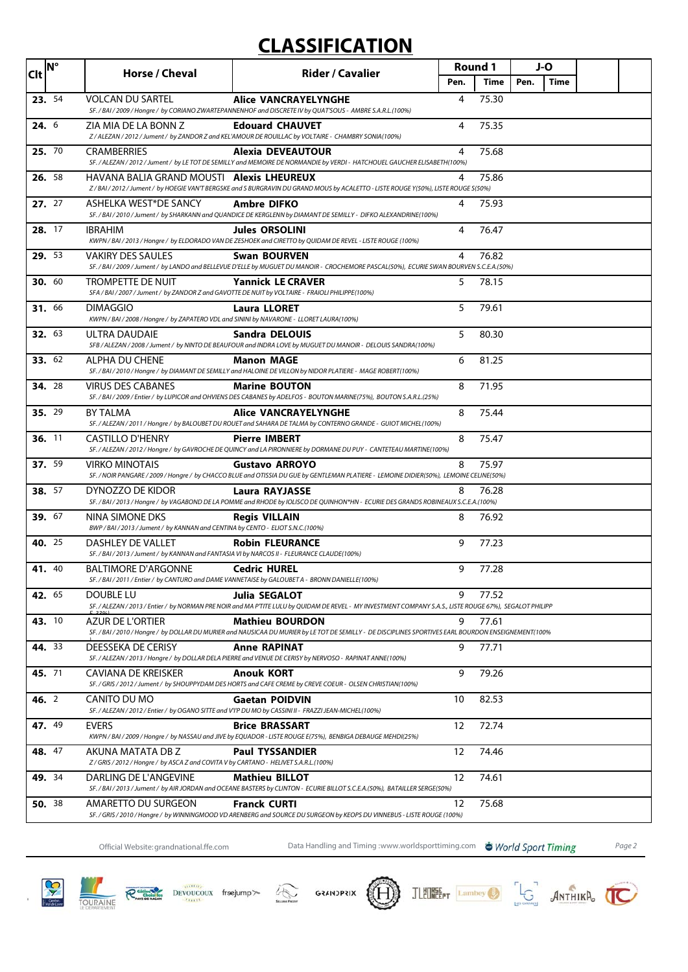# **CLASSIFICATION**

| <b>Clt</b>    | <b>N°</b> | Horse / Cheval                                                                                                        | <b>Rider / Cavalier</b>                                                                                                                                                         | Round 1 |       | J-O  |             |  |
|---------------|-----------|-----------------------------------------------------------------------------------------------------------------------|---------------------------------------------------------------------------------------------------------------------------------------------------------------------------------|---------|-------|------|-------------|--|
|               |           |                                                                                                                       |                                                                                                                                                                                 | Pen.    | Time  | Pen. | <b>Time</b> |  |
| 23. 54        |           | <b>VOLCAN DU SARTEL</b>                                                                                               | <b>Alice VANCRAYELYNGHE</b><br>SF./BAI/2009/Hongre/by CORIANO ZWARTEPANNENHOF and DISCRETE IV by QUAT'SOUS - AMBRE S.A.R.L.(100%)                                               | 4       | 75.30 |      |             |  |
| 24. 6         |           | ZIA MIA DE LA BONN Z                                                                                                  | <b>Edouard CHAUVET</b><br>Z/ALEZAN/2012/Jument/ by ZANDOR Z and KEL'AMOUR DE ROUILLAC by VOLTAIRE - CHAMBRY SONIA(100%)                                                         | 4       | 75.35 |      |             |  |
| 25. 70        |           | <b>CRAMBERRIES</b>                                                                                                    | Alexia DEVEAUTOUR<br>SF. / ALEZAN / 2012 / Jument / by LE TOT DE SEMILLY and MEMOIRE DE NORMANDIE by VERDI - HATCHOUEL GAUCHER ELISABETH(100%)                                  | 4       | 75.68 |      |             |  |
| 26. 58        |           | HAVANA BALIA GRAND MOUSTI <b>Alexis LHEUREUX</b>                                                                      | Z/BAI/2012/Jument/ by HOEGIE VAN'T BERGSKE and S BURGRAVIN DU GRAND MOUS by ACALETTO - LISTE ROUGE Y(50%), LISTE ROUGE S(50%)                                                   | 4       | 75.86 |      |             |  |
| 27. 27        |           | ASHELKA WEST*DE SANCY                                                                                                 | <b>Ambre DIFKO</b><br>SF. / BAI / 2010 / Jument / by SHARKANN and QUANDICE DE KERGLENN by DIAMANT DE SEMILLY - DIFKO ALEXANDRINE(100%)                                          | 4       | 75.93 |      |             |  |
| 28. 17        |           | <b>IBRAHIM</b>                                                                                                        | <b>Jules ORSOLINI</b><br>KWPN / BAI / 2013 / Hongre / by ELDORADO VAN DE ZESHOEK and CIRETTO by QUIDAM DE REVEL - LISTE ROUGE (100%)                                            | 4       | 76.47 |      |             |  |
| 29. 53        |           | <b>VAKIRY DES SAULES</b>                                                                                              | <b>Swan BOURVEN</b><br>SF. / BAI / 2009 / Jument / by LANDO and BELLEVUE D'ELLE by MUGUET DU MANOIR - CROCHEMORE PASCAL(50%), ECURIE SWAN BOURVEN S.C.E.A.(50%)                 | 4       | 76.82 |      |             |  |
| <b>30.</b> 60 |           | TROMPETTE DE NUIT<br>SFA / BAI / 2007 / Jument / by ZANDOR Z and GAVOTTE DE NUIT by VOLTAIRE - FRAIOLI PHILIPPE(100%) | <b>Yannick LE CRAVER</b>                                                                                                                                                        | 5       | 78.15 |      |             |  |
| 31. 66        |           | <b>DIMAGGIO</b><br>KWPN / BAI / 2008 / Hongre / by ZAPATERO VDL and SININI by NAVARONE - LLORET LAURA(100%)           | <b>Laura LLORET</b>                                                                                                                                                             | 5       | 79.61 |      |             |  |
| 32.63         |           | ULTRA DAUDAIE                                                                                                         | Sandra DELOUIS<br>SFB / ALEZAN / 2008 / Jument / by NINTO DE BEAUFOUR and INDRA LOVE by MUGUET DU MANOIR - DELOUIS SANDRA(100%)                                                 | 5       | 80.30 |      |             |  |
| 33. 62        |           | ALPHA DU CHENE                                                                                                        | <b>Manon MAGE</b><br>SF. / BAI / 2010 / Hongre / by DIAMANT DE SEMILLY and HALOINE DE VILLON by NIDOR PLATIERE - MAGE ROBERT(100%)                                              | 6       | 81.25 |      |             |  |
| <b>34.</b> 28 |           | <b>VIRUS DES CABANES</b>                                                                                              | <b>Marine BOUTON</b><br>SF. / BAI / 2009 / Entier / by LUPICOR and OHVIENS DES CABANES by ADELFOS - BOUTON MARINE(75%), BOUTON S.A.R.L.(25%)                                    | 8       | 71.95 |      |             |  |
| 35. 29        |           | <b>BY TALMA</b>                                                                                                       | <b>Alice VANCRAYELYNGHE</b><br>SF. / ALEZAN / 2011 / Hongre / by BALOUBET DU ROUET and SAHARA DE TALMA by CONTERNO GRANDE - GUIOT MICHEL(100%)                                  | 8       | 75.44 |      |             |  |
| 36. 11        |           | <b>CASTILLO D'HENRY</b>                                                                                               | <b>Pierre IMBERT</b><br>SF. / ALEZAN / 2012 / Hongre / by GAVROCHE DE QUINCY and LA PIRONNIERE by DORMANE DU PUY - CANTETEAU MARTINE(100%)                                      | 8       | 75.47 |      |             |  |
| 37. 59        |           | <b>VIRKO MINOTAIS</b>                                                                                                 | <b>Gustavo ARROYO</b><br>SF. / NOIR PANGARE / 2009 / Hongre / by CHACCO BLUE and OTISSIA DU GUE by GENTLEMAN PLATIERE - LEMOINE DIDIER(50%), LEMOINE CELINE(50%)                | 8       | 75.97 |      |             |  |
| 38. 57        |           | DYNOZZO DE KIDOR                                                                                                      | <b>Laura RAYJASSE</b><br>SF. / BAI / 2013 / Hongre / by VAGABOND DE LA POMME and RHODE by IOLISCO DE QUINHON*HN - ECURIE DES GRANDS ROBINEAUX S.C.E.A.(100%)                    | 8       | 76.28 |      |             |  |
| 39. 67        |           | NINA SIMONE DKS<br>BWP / BAI / 2013 / Jument / by KANNAN and CENTINA by CENTO - ELIOT S.N.C.(100%)                    | <b>Regis VILLAIN</b>                                                                                                                                                            | 8       | 76.92 |      |             |  |
| 40. 25        |           | <b>DASHLEY DE VALLET</b><br>SF./BAI/2013/Jument/ by KANNAN and FANTASIA VI by NARCOS II - FLEURANCE CLAUDE(100%)      | <b>Robin FLEURANCE</b>                                                                                                                                                          | 9       | 77.23 |      |             |  |
| 41. 40        |           | <b>BALTIMORE D'ARGONNE</b>                                                                                            | <b>Cedric HUREL</b><br>SF./BAI/2011/Entier/by CANTURO and DAME VANNETAISE by GALOUBET A - BRONN DANIELLE(100%)                                                                  | 9       | 77.28 |      |             |  |
| 42. 65        |           | DOUBLE LU                                                                                                             | Julia SEGALOT<br>SF. / ALEZAN / 2013 / Entier / by NORMAN PRE NOIR and MA PTITE LULU by QUIDAM DE REVEL - MY INVESTMENT COMPANY S.A.S., LISTE ROUGE 67%), SEGALOT PHILIPP       | 9       | 77.52 |      |             |  |
| 43. 10        |           | AZUR DE L'ORTIER                                                                                                      | <b>Mathieu BOURDON</b><br>SF. / BAI / 2010 / Hongre / by DOLLAR DU MURIER and NAUSICAA DU MURIER by LE TOT DE SEMILLY - DE DISCIPLINES SPORTIVES EARL BOURDON ENSEIGNEMENT(100% | 9       | 77.61 |      |             |  |
| <b>44.</b> 33 |           | DEESSEKA DE CERISY                                                                                                    | Anne RAPINAT<br>SF./ALEZAN/2013/Hongre/ by DOLLAR DELA PIERRE and VENUE DE CERISY by NERVOSO - RAPINAT ANNE(100%)                                                               | 9       | 77.71 |      |             |  |
| 45. 71        |           | CAVIANA DE KREISKER                                                                                                   | <b>Anouk KORT</b><br>SF. / GRIS / 2012 / Jument / by SHOUPPYDAM DES HORTS and CAFE CREME by CREVE COEUR - OLSEN CHRISTIAN(100%)                                                 | 9       | 79.26 |      |             |  |
| <b>46.</b> 2  |           | CANITO DU MO                                                                                                          | Gaetan POIDVIN<br>SF./ALEZAN/2012/Entier/ by OGANO SITTE and V'I'P DU MO by CASSINI II - FRAZZI JEAN-MICHEL(100%)                                                               | 10      | 82.53 |      |             |  |
| 47. 49        |           | EVERS                                                                                                                 | <b>Brice BRASSART</b><br>KWPN / BAI / 2009 / Hongre / by NASSAU and JIVE by EQUADOR - LISTE ROUGE E(75%), BENBIGA DEBAUGE MEHDI(25%)                                            | 12      | 72.74 |      |             |  |
| <b>48.</b> 47 |           | AKUNA MATATA DB Z<br>Z/GRIS/2012/Hongre / by ASCA Z and COVITA V by CARTANO - HELIVET S.A.R.L.(100%)                  | <b>Paul TYSSANDIER</b>                                                                                                                                                          | 12      | 74.46 |      |             |  |
| 49. 34        |           | DARLING DE L'ANGEVINE                                                                                                 | <b>Mathieu BILLOT</b><br>SF. / BAI / 2013 / Jument / by AIR JORDAN and OCEANE BASTERS by CLINTON - ECURIE BILLOT S.C.E.A. (50%), BATAILLER SERGE(50%)                           | 12      | 74.61 |      |             |  |
| 50. 38        |           | AMARETTO DU SURGEON                                                                                                   | <b>Franck CURTI</b><br>SF. / GRIS / 2010 / Hongre / by WINNINGMOOD VD ARENBERG and SOURCE DU SURGEON by KEOPS DU VINNEBUS - LISTE ROUGE (100%)                                  | 12      | 75.68 |      |             |  |

Official Website:grandnational.ffe.com Data Handling and Timing :www.worldsporttiming.com World Sport Timing Page 2